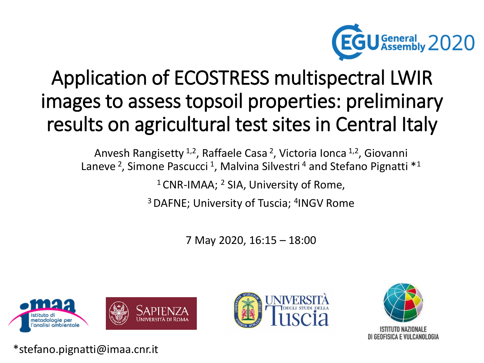

# Application of ECOSTRESS multispectral LWIR images to assess topsoil properties: preliminary results on agricultural test sites in Central Italy

Anvesh Rangisetty <sup>1,2</sup>, Raffaele Casa <sup>2</sup>, Victoria Ionca <sup>1,2</sup>, Giovanni Laneve<sup>2</sup>, Simone Pascucci<sup>1</sup>, Malvina Silvestri<sup>4</sup> and Stefano Pignatti \*<sup>1</sup>

 $1$ CNR-IMAA;  $2$  SIA, University of Rome,

<sup>3</sup> DAFNE; University of Tuscia; <sup>4</sup>INGV Rome

7 May 2020, 16:15 – 18:00







\*stefano.pignatti@imaa.cnr.it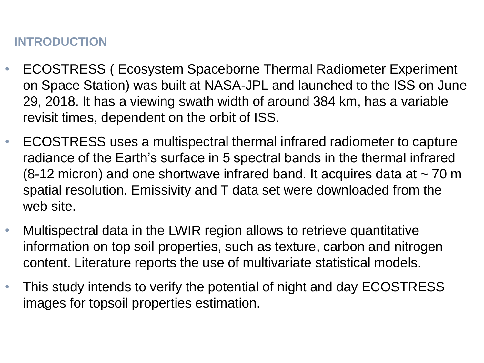### **INTRODUCTION**

- ECOSTRESS ( Ecosystem Spaceborne Thermal Radiometer Experiment on Space Station) was built at NASA-JPL and launched to the ISS on June 29, 2018. It has a viewing swath width of around 384 km, has a variable revisit times, dependent on the orbit of ISS.
- ECOSTRESS uses a multispectral thermal infrared radiometer to capture radiance of the Earth's surface in 5 spectral bands in the thermal infrared (8-12 micron) and one shortwave infrared band. It acquires data at  $\sim$  70 m spatial resolution. Emissivity and T data set were downloaded from the web site.
- Multispectral data in the LWIR region allows to retrieve quantitative information on top soil properties, such as texture, carbon and nitrogen content. Literature reports the use of multivariate statistical models.
- This study intends to verify the potential of night and day ECOSTRESS images for topsoil properties estimation.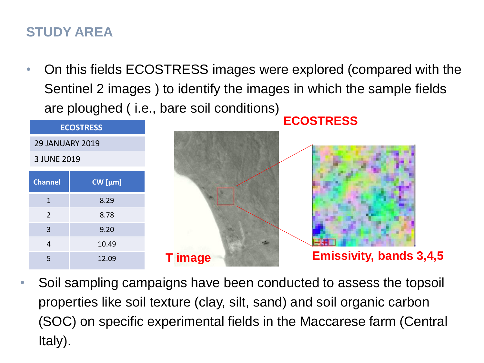### **STUDY AREA**

• On this fields ECOSTRESS images were explored (compared with the Sentinel 2 images ) to identify the images in which the sample fields are ploughed ( i.e., bare soil conditions)

| <b>ECOSTRESS</b>       |           |  |
|------------------------|-----------|--|
| <b>29 JANUARY 2019</b> |           |  |
| 3 JUNE 2019            |           |  |
| <b>Channel</b>         | $CW$ [µm] |  |
| $\mathbf{1}$           | 8.29      |  |
| 2                      | 8.78      |  |
| $\overline{3}$         | 9.20      |  |
| $\overline{4}$         | 10.49     |  |
| 5                      | 12.09     |  |

• Soil sampling campaigns have been conducted to assess the topsoil properties like soil texture (clay, silt, sand) and soil organic carbon (SOC) on specific experimental fields in the Maccarese farm (Central Italy).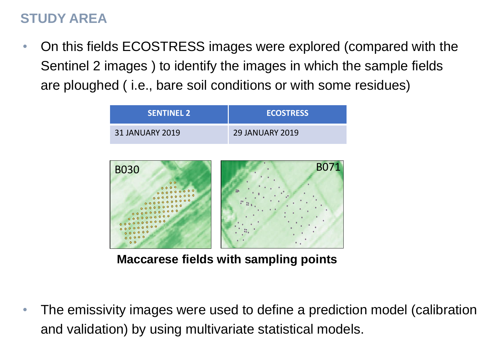### **STUDY AREA**

• On this fields ECOSTRESS images were explored (compared with the Sentinel 2 images ) to identify the images in which the sample fields are ploughed ( i.e., bare soil conditions or with some residues)



**Maccarese fields with sampling points**

• The emissivity images were used to define a prediction model (calibration and validation) by using multivariate statistical models.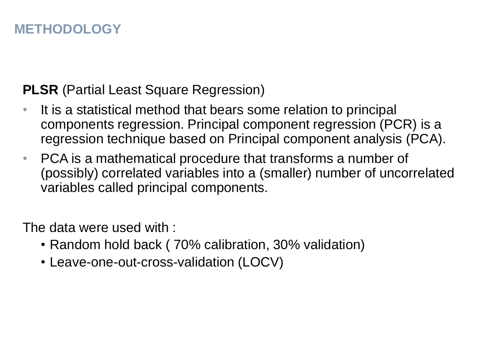### **METHODOLOGY**

### **PLSR** (Partial Least Square Regression)

- It is a statistical method that bears some relation to principal components regression. Principal component regression (PCR) is a regression technique based on Principal component analysis (PCA).
- PCA is a mathematical procedure that transforms a number of (possibly) correlated variables into a (smaller) number of uncorrelated variables called principal components.

The data were used with :

- Random hold back ( 70% calibration, 30% validation)
- Leave-one-out-cross-validation (LOCV)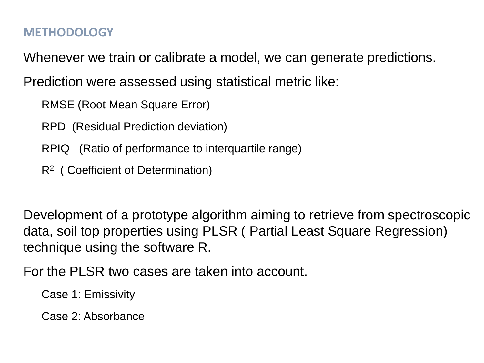#### **METHODOLOGY**

Whenever we train or calibrate a model, we can generate predictions.

Prediction were assessed using statistical metric like:

RMSE (Root Mean Square Error)

RPD (Residual Prediction deviation)

- RPIQ (Ratio of performance to interquartile range)
- R<sup>2</sup> (Coefficient of Determination)

Development of a prototype algorithm aiming to retrieve from spectroscopic data, soil top properties using PLSR ( Partial Least Square Regression) technique using the software R.

For the PLSR two cases are taken into account.

Case 1: Emissivity

Case 2: Absorbance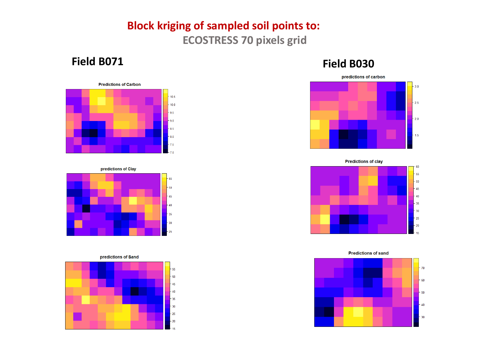#### **Field B064 Block kriging of sampled soil points to: ECOSTRESS 70 pixels grid**

#### **Field B071**











#### **Field B030**



**Predictions of clay**  $-60$  $-55$  $-50$  $-45$  $-40$  $-35$  $-30$  $-25$  $-20$  $15$ 

**Predictions of sand** 

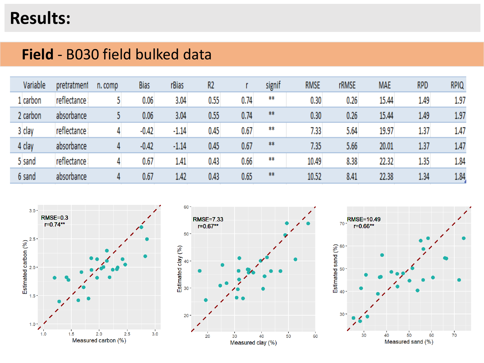## **Results:**

### **Field** - B030 field bulked data

| Variable | pretratment  | n. comp | <b>Bias</b> | rBias   | R <sub>2</sub> |      | signif | <b>RMSE</b> | <b>rRMSE</b> | <b>MAE</b> | <b>RPD</b> | <b>RPIQ</b> |
|----------|--------------|---------|-------------|---------|----------------|------|--------|-------------|--------------|------------|------------|-------------|
| l carbon | reflectance: |         | 0.06        | 3.04    | 0.55           | 0.74 | $***$  | 0.30        | 0.26         | 15.44      | 1.49       | 1.97        |
| 2 carbon | absorbance   |         | 0.06        | 3.04    | 0.55           | 0.74 | $***$  | 0.30        | 0.26         | 15.44      | 1.49       | 1.97        |
| 3 clay   | reflectance: |         | $-0.42$     | $-1.14$ | 0.45           | 0.67 | **     | 7.33        | 5.64         | 19.97      | 1.37       | 1.47        |
| 4 clay   | absorbance   | 4       | $-0.42$     | $-1.14$ | 0.45           | 0.67 | $***$  | 7.35        | 5.66         | 20.01      | 1,37       | 1.47        |
| 5 sand   | reflectance: |         | 0.67        | 1.41    | 0.43           | 0.66 | #      | 10.49       | 8.38         | 22.32      | 1.35       | 1.84        |
| 6 sand   | absorbance   | 4       | 0.67        | 1.42    | 0.43           | 0.65 | #      | 10.52       | 8.41         | 22.38      | 1.34       | 1.84        |





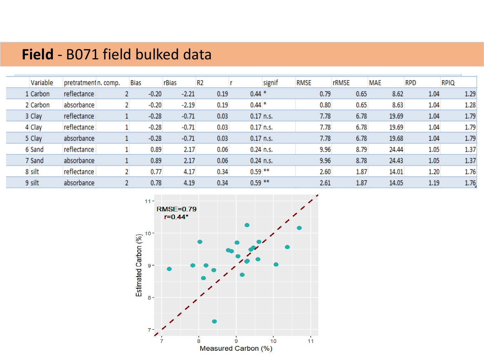### **Field** - B071 field bulked data

| Variable | pretratment n. comp. | <b>Bias</b> |         | rBias   | R <sub>2</sub> |           | signif      | <b>RMSE</b> | <b>rRMSE</b> | <b>MAE</b> | <b>RPD</b> | <b>RPIQ</b> |
|----------|----------------------|-------------|---------|---------|----------------|-----------|-------------|-------------|--------------|------------|------------|-------------|
| 1 Carbon | reflectance:         |             | $-0.20$ | $-2.21$ | 0.19           | $0.44*$   |             | 0.79        | 0.65         | 8.62       | 1.04       | 1.29        |
| 2 Carbon | absorbance           |             | $-0.20$ | $-2.19$ | 0.19           | $0.44*$   |             | 0.80        | 0.65         | 8.63       | 1.04       | 1.28        |
| 3 Clay   | reflectance:         |             | $-0.28$ | $-0.71$ | 0.03           |           | $0.17$ n.s. | 7.78        | 6.78         | 19.69      | 1.04       | 1.79        |
| 4 Clay   | reflectance:         |             | $-0.28$ | $-0.71$ | 0.03           |           | $0.17$ n.s. | 7.78        | 6.78         | 19.69      | 1.04       | 1.79        |
| 5 Clay   | absorbance           |             | $-0.28$ | $-0.71$ | 0.03           |           | $0.17$ n.s. | 7.78        | 6.78         | 19.68      | 1.04       | 1.79        |
| 6 Sand   | reflectance          |             | 0.89    | 2.17    | 0.06           |           | $0.24$ n.s. | 9.96        | 8.79         | 24.44      | 1.05       | 1.37        |
| 7 Sand   | absorbance           |             | 0.89    | 2.17    | 0.06           |           | $0.24$ n.s. | 9.96        | 8.78         | 24.43      | 1.05       | 1.37        |
| 8 silt   | reflectance          |             | 0.77    | 4.17    | 0.34           | $0.59$ ** |             | 2.60        | 1.87         | 14.01      | 1.20       | 1.76        |
| 9 silt   | absorbance           |             | 0.78    | 4.19    | 0.34           | $0.59$ ** |             | 2.61        | 1.87         | 14.05      | 1.19       | 1.76        |